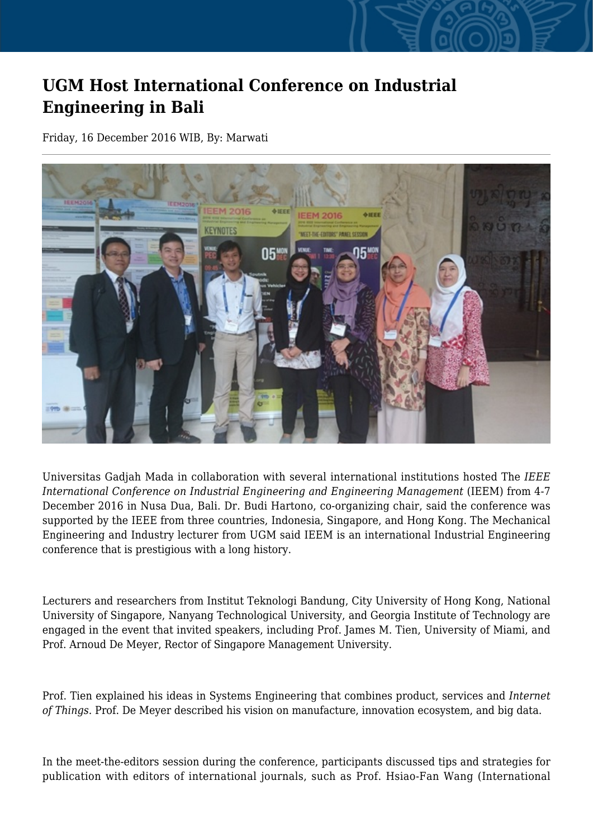## **UGM Host International Conference on Industrial Engineering in Bali**

Friday, 16 December 2016 WIB, By: Marwati



Universitas Gadjah Mada in collaboration with several international institutions hosted The *IEEE International Conference on Industrial Engineering and Engineering Management* (IEEM) from 4-7 December 2016 in Nusa Dua, Bali. Dr. Budi Hartono, co-organizing chair, said the conference was supported by the IEEE from three countries, Indonesia, Singapore, and Hong Kong. The Mechanical Engineering and Industry lecturer from UGM said IEEM is an international Industrial Engineering conference that is prestigious with a long history.

Lecturers and researchers from Institut Teknologi Bandung, City University of Hong Kong, National University of Singapore, Nanyang Technological University, and Georgia Institute of Technology are engaged in the event that invited speakers, including Prof. James M. Tien, University of Miami, and Prof. Arnoud De Meyer, Rector of Singapore Management University.

Prof. Tien explained his ideas in Systems Engineering that combines product, services and *Internet of Things*. Prof. De Meyer described his vision on manufacture, innovation ecosystem, and big data.

In the meet-the-editors session during the conference, participants discussed tips and strategies for publication with editors of international journals, such as Prof. Hsiao-Fan Wang (International